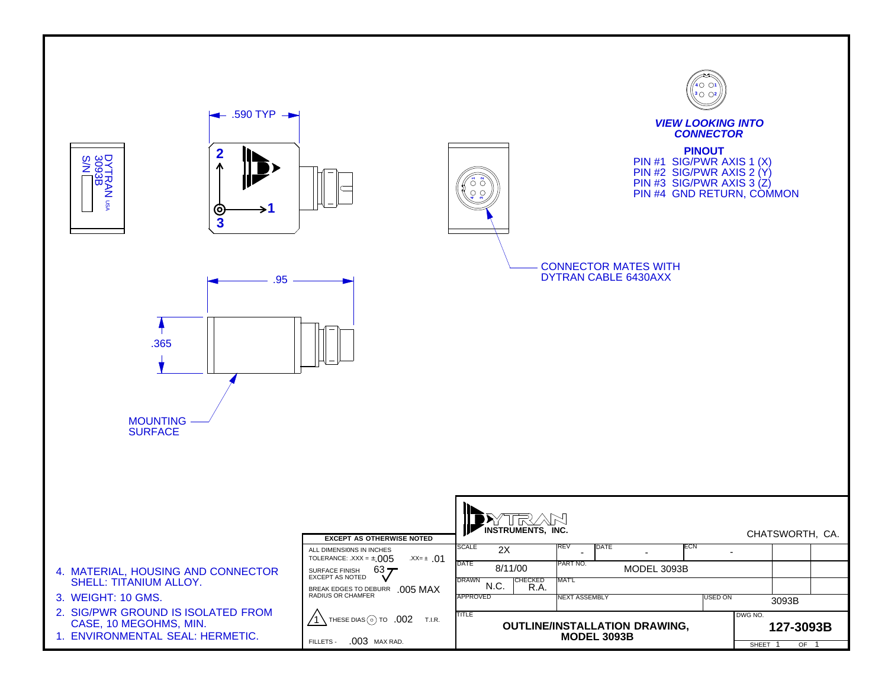